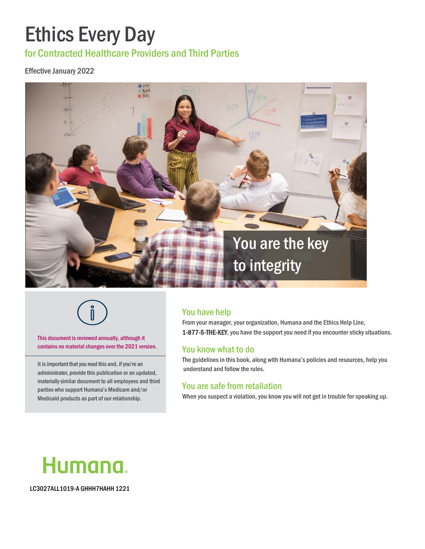# Ethics Every Day

for Contracted Healthcare Providers and Third Parties

#### Effective January 2022





This document is reviewed annually, although it contains no material changes over the 2021 version.

It is important that you read this and, if you're an administrator, provide this publication or an updated, materiallysimilar document to all employees and third parties who support Humana's Medicare and/or Medicaid products as part of our relationship.

### You have help

From your manager, your organization, Humana and the Ethics Help Line, 1-877-5-THE-KEY, you have the support you need if you encounter sticky situations.

### You know what to do

The guidelines in this book, along with Humana's policies and resources, help you understand and follow the rules.

#### You are safe from retaliation

When you suspect a violation, you know you will not get in trouble for speaking up.



LC3027ALL1019-A GHHH7HAHH 1221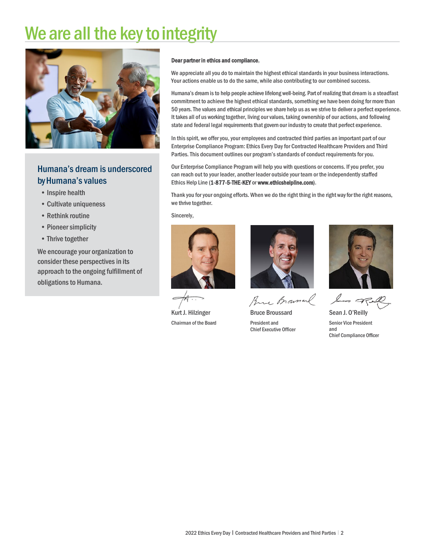# We are all the key to integrity



## Humana's dream is underscored by Humana's values

- Inspire health
- Cultivate uniqueness
- Rethink routine
- Pioneer simplicity
- Thrive together

We encourage your organization to consider these perspectives in its approach to the ongoing fulfillment of obligations to Humana.

#### Dear partner in ethics and compliance,

We appreciate all you do to maintain the highest ethical standards in your business interactions. Your actions enable us to do the same, while also contributing to our combined success.

Humana's dream is to help people achieve lifelong well-being. Part of realizing that dream is a steadfast commitment to achieve the highest ethical standards, something we have been doing for more than 50 years. The values and ethical principles we share help us as we strive to deliver a perfect experience. It takes all of us working together, living our values, taking ownership of our actions, and following state and federal legal requirements that govern our industry to create that perfect experience.

In this spirit, we offer you, your employees and contracted third parties an important part of our Enterprise Compliance Program: Ethics Every Day for Contracted Healthcare Providers and Third Parties. This document outlines our program's standards of conduct requirements for you.

Our Enterprise Compliance Program will help you with questions or concerns. If you prefer, you can reach out to your leader, another leader outside your team or the independently staffed Ethics Help Line (1-877-5-THE-KEY o[r www.ethicshelpline.com\).](https://ethicshelpline.tnwreports.com/)

Thank you for your ongoing efforts. When we do the right thing in the right way for the right reasons, we thrive together.

Sincerely,



Kurt J. Hilzinger Chairman of the Board



Brue Brownal

Bruce Broussard President and Chief Executive Officer



Som of all

Sean J. O'Reilly Senior Vice President and Chief Compliance Officer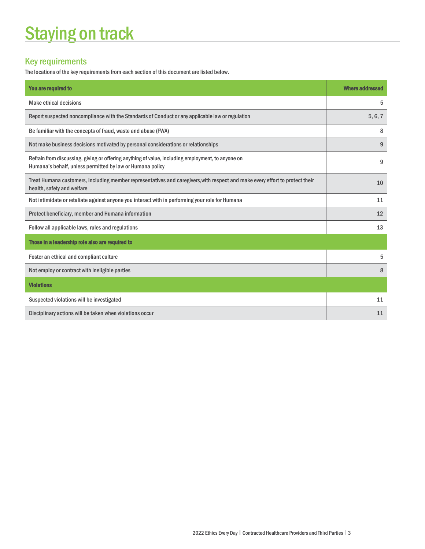# **Staying on track**

# Key requirements

The locations of the key requirements from each section of this document are listed below.

| You are required to                                                                                                                                            | <b>Where addressed</b> |
|----------------------------------------------------------------------------------------------------------------------------------------------------------------|------------------------|
| <b>Make ethical decisions</b>                                                                                                                                  | 5                      |
| Report suspected noncompliance with the Standards of Conduct or any applicable law or regulation                                                               | 5, 6, 7                |
| Be familiar with the concepts of fraud, waste and abuse (FWA)                                                                                                  | 8                      |
| Not make business decisions motivated by personal considerations or relationships                                                                              | 9                      |
| Refrain from discussing, giving or offering anything of value, including employment, to anyone on<br>Humana's behalf, unless permitted by law or Humana policy | 9                      |
| Treat Humana customers, including member representatives and caregivers, with respect and make every effort to protect their<br>health, safety and welfare     | 10                     |
| Not intimidate or retaliate against anyone you interact with in performing your role for Humana                                                                | 11                     |
| Protect beneficiary, member and Humana information                                                                                                             | 12                     |
| Follow all applicable laws, rules and regulations                                                                                                              | 13                     |
| Those in a leadership role also are required to                                                                                                                |                        |
| Foster an ethical and compliant culture                                                                                                                        | 5                      |
| Not employ or contract with ineligible parties                                                                                                                 | 8                      |
| <b>Violations</b>                                                                                                                                              |                        |
| Suspected violations will be investigated                                                                                                                      | 11                     |
| Disciplinary actions will be taken when violations occur                                                                                                       | 11                     |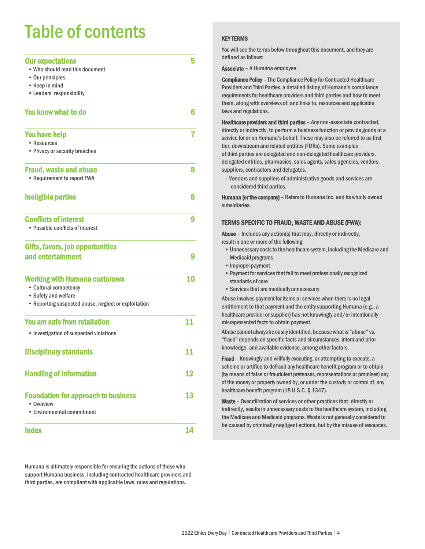# Table of contents

| <b>Our expectations</b>                              | 5  |
|------------------------------------------------------|----|
| • Who should read this document                      |    |
| • Our principles                                     |    |
| • Keep in mind                                       |    |
| • Leaders' responsibility                            |    |
| You know what to do                                  | 6  |
| <b>You have help</b>                                 |    |
| • Resources                                          |    |
| • Privacy or security breaches                       |    |
| <b>Fraud, waste and abuse</b>                        | 8  |
| • Requirement to report FWA                          |    |
| Ineligible parties                                   | 8  |
| <b>Conflicts of interest</b>                         | 9  |
| • Possible conflicts of interest                     |    |
| <b>Gifts, favors, job opportunities</b>              |    |
| and entertainment                                    | 9  |
| <b>Working with Humana customers</b>                 | 10 |
| • Cultural competency                                |    |
| • Safety and welfare                                 |    |
| • Reporting suspected abuse, neglect or exploitation |    |
| You am safe from retaliation                         | 11 |
| • Investigation of suspected violations              |    |
| <b>Disciplinary standards</b>                        | 11 |
| <b>Handling of information</b>                       | 12 |
| <b>Foundation for approach to business</b>           | 13 |
| • Overview<br>• Environmental commitment             |    |
|                                                      |    |
| <b>Index</b>                                         | 14 |

Humana is ultimately responsible for ensuring the actions of those who support Humana business, including contracted healthcare providers and third parties, are compliant with applicable laws, rules and regulations.

#### KEY TERMS

You will see the terms below throughout this document, and they are defined as follows:

Associate – A Humana employee.

Compliance Policy – The Compliance Policy for Contracted Healthcare Providers and Third Parties, a detailed listing of Humana's compliance requirements for healthcare providers and third parties and how to meet them, along with overviews of, and links to, resources and applicable laws and regulations.

Healthcare providers and third parties - Any non-associate contracted, directly or indirectly, to perform a business function or provide goods or a service for or on Humana's behalf. These may also be referred to as first tier, downstream and related entities (FDRs). Some examples of third parties are delegated and non-delegated healthcare providers, delegated entities, pharmacies, sales agents, sales agencies, vendors, suppliers, contractors and delegates.

– Vendors and suppliers of administrative goods and services are considered third parties.

Humana (or the company) - Refers to Humana Inc. and its wholly owned subsidiaries.

#### TERMS SPECIFIC TO FRAUD, WASTE AND ABUSE (FWA):

Abuse – Includes any action(s) that may, directly or indirectly, result in one or more of the following:

- Unnecessary costs to the healthcare system, including the Medicare and Medicaid programs
- •Improper payment
- Payment for services that fail to meet professionally recognized standards of care
- •Services that are medicallyunnecessary

Abuse involves payment for items or services when there is no legal entitlement to that payment and the entity supporting Humana (e.g., a healthcare provider or supplier) has not knowingly and/or intentionally misrepresented facts to obtain payment.

Abuse cannotalwaysbe easilyidentified, becausewhatis "abuse" vs. "fraud" depends on specific facts and circumstances, intent and prior knowledge, and available evidence, among otherfactors.

Fraud – Knowingly and willfully executing, or attempting to execute, a scheme or artifice to defraud any healthcare benefit program or to obtain (by means of false or fraudulent pretenses, representations or promises) any of the money or property owned by, or under the custody or control of, any healthcare benefit program (18 U.S.C. § 1347).

Waste - Overutilization of services or other practices that, directly or indirectly, results in unnecessary costs to the healthcare system, including the Medicare and Medicaid programs. Waste is not generally considered to be caused by criminally negligent actions, but by the misuse of resources.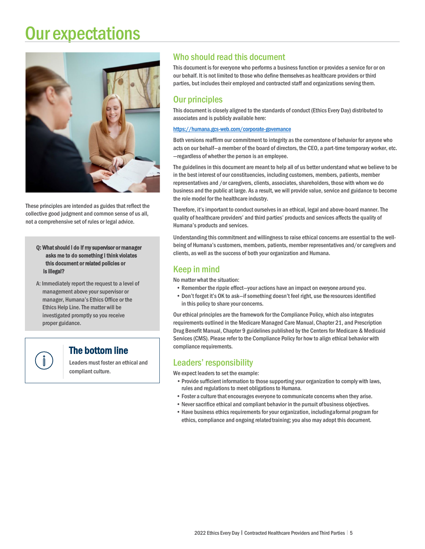# Our expectations



These principles are intended as guides that reflect the collective good judgment and common sense of us all, not a comprehensive set of rules or legal advice.

Q: What should I do if my supervisor or manager asks me to do something I think violates this document or related policies or is illegal?

A: Immediately report the request to a level of management above your supervisor or manager, Humana's Ethics Office or the Ethics Help Line. The matter will be investigated promptly so you receive proper guidance.

## The bottom line

Leaders must foster an ethical and compliant culture.

### Who should read this document

This document is for everyone who performs a business function or provides a service for or on our behalf. It is not limited to those who define themselves as healthcare providers or third parties, but includes their employed and contracted staff and organizations serving them.

### Our principles

This document is closely aligned to the standards of conduct (Ethics Every Day) distributed to associates and is publicly available here:

#### <https://humana.gcs-web.com/corporate-governance>

Both versions reaffirm our commitment to integrity as the cornerstone of behavior for anyone who acts on our behalf—a member of the board of directors, the CEO, a part-time temporary worker, etc. —regardless of whether the person is an employee.

The guidelines in this document are meant to help all of us better understand what we believe to be in the best interest of our constituencies, including customers, members, patients, member representatives and /or caregivers, clients, associates, shareholders, those with whom we do business and the public at large. As a result, we will provide value, service and guidance to become the role model for the healthcare industry.

Therefore, it's important to conduct ourselves in an ethical, legal and above-board manner. The quality of healthcare providers' and third parties' products and services affects the quality of Humana's products and services.

Understanding this commitment and willingness to raise ethical concerns are essential to the wellbeing of Humana's customers, members, patients, member representatives and/or caregivers and clients, as well as the success of both your organization and Humana.

### Keep in mind

No matter what the situation:

- Remember the ripple effect—your actions have an impact on everyone around you.
- Don't forget it's OK to ask—if something doesn't feel right, use the resources identified in this policy to share your concerns.

Our ethical principles are the framework for the Compliance Policy, which also integrates requirements outlined in the Medicare Managed Care Manual, Chapter 21, and Prescription Drug Benefit Manual, Chapter 9 guidelines published by the Centers for Medicare & Medicaid Services (CMS). Please refer to the Compliance Policy for how to align ethical behavior with compliance requirements.

#### Leaders' responsibility

We expect leaders to set the example:

- •Provide sufficient information to those supporting your organization to comply with laws, rules and regulations to meet obligations to Humana.
- Foster a culture that encourages everyone to communicate concerns when they arise.
- Never sacrifice ethical and compliant behavior in the pursuit of business objectives.
- Have business ethics requirements for your organization, includinga formal program for ethics, compliance and ongoing related training; you also may adopt this document.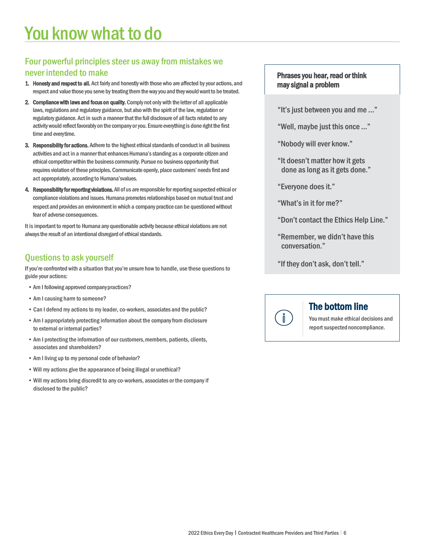### Four powerful principles steer us away from mistakes we never intended to make

- 1. Honesty and respect to all. Act fairly and honestly with those who are affected by your actions, and respect and value those you serve by treating them the way you and they would want to be treated.
- 2. Compliance with laws and focus on quality. Comply not only with the letter of all applicable laws, regulations and regulatory guidance, but also with the spirit of the law, regulation or regulatory guidance. Act in such a manner that the full disclosure of all facts related to any activity would reflect favorably on the company or you. Ensure everything is done right the first time and everytime.
- 3. Responsibility for actions. Adhere to the highest ethical standards of conduct in all business activities and act in a manner that enhances Humana's standing as a corporate citizen and ethical competitor within the business community. Pursue no business opportunity that requires violation of these principles. Communicate openly, place customers' needs first and act appropriately, according to Humana'svalues.
- 4. Responsibility for reporting violations. All of us are responsible for reporting suspected ethical or compliance violations and issues. Humana promotes relationships based on mutual trust and respect and provides an environment in which a company practice can be questioned without fear of adverse consequences.

It is important to report to Humana any questionable activity because ethical violations are not always the result of an intentional disregard of ethical standards.

### Questions to ask yourself

If you're confronted with a situation that you're unsure how to handle, use these questions to guide your actions:

- •Am I following approved companypractices?
- Am I causing harm to someone?
- Can I defend my actions to my leader, co-workers, associates and the public?
- Am I appropriately protecting information about the company from disclosure to external or internal parties?
- Am I protecting the information of our customers, members, patients, clients, associates and shareholders?
- Am I living up to my personal code of behavior?
- •Will my actions give the appearance of being illegal or unethical?
- •Will my actions bring discredit to any co-workers, associates or the company if disclosed to the public?

#### Phrases you hear, read or think may signal a problem

- "It's just between you and me ..."
- "Well, maybe just this once …"
- "Nobody will ever know."
- "It doesn't matter how it gets done as long as it gets done."
- "Everyone does it."
- "What's in it for me?"
- "Don't contact the Ethics Help Line."
- "Remember, we didn't have this conversation."
- "If they don't ask, don't tell."



## The bottom line

You must make ethical decisions and report suspected noncompliance.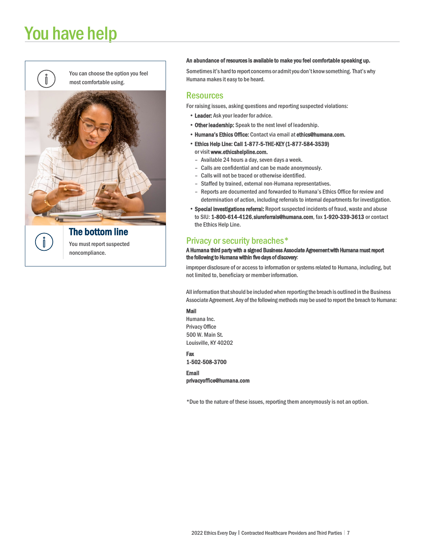# You have help



You can choose the option you feel most comfortable using.



You must report suspected noncompliance.

#### An abundance of resources is available to make you feel comfortable speaking up.

Sometimes it's hard to report concerns or admit you don't know something. That's why Humana makes it easy to be heard.

#### **Resources**

For raising issues, asking questions and reporting suspected violations:

- Leader: Ask your leader for advice.
- Other leadership: Speak to the next level of leadership.
- Humana's Ethics Office: Contact via email at [ethics@humana.com.](mailto:ethics@humana.com)
- Ethics Help Line: Call 1-877-5-THE-KEY (1-877-584-3539) or visi[t www.ethicshelpline.com.](https://ethicshelpline.tnwreports.com/) 
	- Available 24 hours a day, seven days a week.
	- Calls are confidential and can be made anonymously.
	- Calls will not be traced or otherwise identified.
	- Staffed by trained, external non-Humana representatives.
	- Reports are documented and forwarded to Humana's Ethics Office for review and determination of action, including referrals to internal departments for investigation.
- Special investigations referral: Report suspected incidents of fraud, waste and abuse to SIU: 1-800-614-4126[, siureferrals@humana.com,](mailto:siureferrals@humana.com) fax 1-920-339-3613 or contact the Ethics Help Line.

#### Privacy or security breaches\*

#### A Humana third party with a signed Business Associate Agreement with Humana must report the following to Humana within five days of discovery:

improper disclosure of or access to information or systems related to Humana, including, but not limited to, beneficiary or member information.

All information thatshould be includedwhen reporting the breach is outlined in the Business Associate Agreement. Any of the following methods may be used to report the breach to Humana:

#### Mail

Humana Inc. Privacy Office 500 W. Main St. Louisville, KY 40202

Fax

1-502-508-3700

Email [privacyof](mailto:privacyoffice@humana.com)fice@humana.com

\*Due to the nature of these issues, reporting them anonymously is not an option.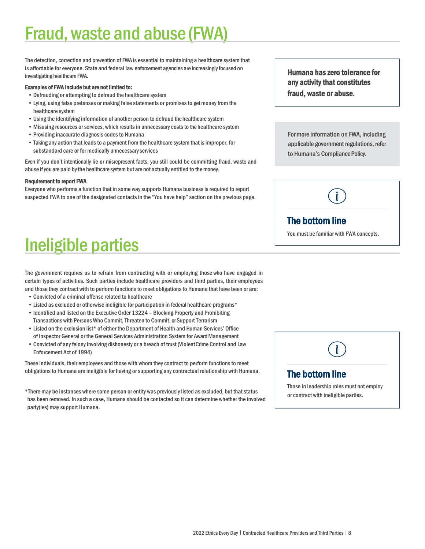# Fraud, waste and abuse (FWA)

The detection, correction and prevention of FWA is essential to maintaining a healthcare system that is affordable for everyone. State and federal law enforcement agencies are increasingly focused on investigating healthcare FWA.

#### Examples of FWA include but are not limited to:

- Defrauding or attempting to defraud the healthcare system
- Lying, using false pretenses or making false statements or promises to get money from the healthcare system
- Using the identifying information of another person to defraud the healthcare system
- Misusing resources or services, which results in unnecessary costs to the healthcare system
- Providing inaccurate diagnosis codes to Humana
- Taking any action that leads to a payment from the healthcare system that is improper, for substandard care or for medically unnecessaryservices

Even if you don't intentionally lie or misrepresent facts, you still could be committing fraud, waste and abuse if you are paid by the healthcare system but are not actually entitled to the money.

#### Requirement to report FWA

Everyone who performs a function that in some way supports Humana business is required to report suspected FWA to one of the designated contacts in the "You have help" section on the previous page. Humana has zero tolerance for any activity that constitutes fraud, waste or abuse.

For more information on FWA, including applicable government regulations, refer to Humana's Compliance Policy.



## The bottom line

You must be familiar with FWA concepts.

# Ineligible parties

The government requires us to refrain from contracting with or employing those who have engaged in certain types of activities. Such parties include healthcare providers and third parties, their employees and those they contract with to perform functions to meet obligations to Humana that have been or are:

- Convicted of a criminal offense related to healthcare
- Listed as excluded or otherwise ineligible for participation in federal healthcare programs\*
- Identified and listed on the Executive Order 13224 Blocking Property and Prohibiting Transactions with Persons Who Commit, Threaten to Commit, or Support Terrorism
- Listed on the exclusion list\* of either the Department of Health and Human Services' Office of Inspector General or the General Services Administration System for Award Management
- Convicted of any felony involving dishonesty or a breach of trust (ViolentCrime Control and Law Enforcement Act of 1994)

These individuals, their employees and those with whom they contract to perform functions to meet obligations to Humana are ineligible for having or supporting any contractual relationship with Humana.

\*There may be instances where some person or entity was previously listed as excluded, but that status has been removed. In such a case, Humana should be contacted so it can determine whether the involved party(ies) may support Humana.

## The bottom line

Those in leadership roles must not employ or contract with ineligible parties.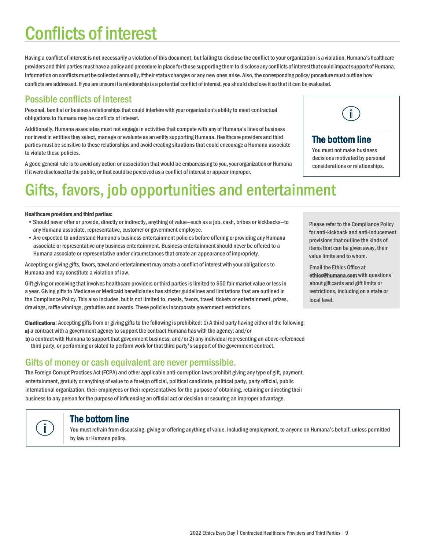# Conflicts of interest

Having a conflict of interest is not necessarily a violation of this document, but failing to disclose the conflict to your organization is a violation. Humana's healthcare providers and third parties must have a policy and procedure in place for those supporting them to disclose any conflicts of interest that could impact support of Humana. Information on conflicts must be collected annually, if their status changes or any new ones arise. Also, the corresponding policy/procedure must outline how conflicts are addressed. If you are unsure if a relationship is a potential conflict of interest, you should disclose it so that it can be evaluated.

## Possible conflicts of interest

Personal, familial or business relationships that could interfere with your organization's ability to meet contractual obligations to Humana may be conflicts of interest.

Additionally, Humana associates must not engage in activities that compete with any of Humana's lines of business nor invest in entities they select, manage or evaluate as an entity supporting Humana. Healthcare providers and third parties must be sensitive to these relationships and avoid creating situations that could encourage a Humana associate to violate these policies.

A good general rule is to avoid any action or association that would be embarrassing to you, yourorganization or Humana if it were disclosed to the public, or that could be perceived as a conflict of interest or appear improper.

# Gifts, favors, job opportunities and entertainment

#### Healthcare providers and third parties:

- •Should never offer or provide, directly or indirectly, anything of value—such as a job, cash, bribes or kickbacks—to any Humana associate, representative, customer or government employee.
- Are expected to understand Humana's business entertainment policies before offering or providing any Humana associate or representative any business entertainment. Business entertainment should never be offered to a Humana associate or representative under circumstances that create an appearance of impropriety.

Accepting or giving gifts, favors, travel and entertainment may create a conflict of interest with your obligationsto Humana and may constitute a violation of law.

Gift giving or receiving that involves healthcare providers or third parties is limited to \$50 fair market value or less in a year. Giving gifts to Medicare or Medicaid beneficiaries has stricter guidelines and limitations that are outlined in the Compliance Policy. This also includes, but is not limited to, meals, favors, travel, tickets or entertainment, prizes, drawings, raffle winnings, gratuities and awards. These policies incorporate government restrictions.

Clarifications: Accepting gifts from or giving gifts to the following is prohibited: 1) A third party having either of the following: a) a contract with a government agency to support the contract Humana has with the agency; and/or

b) a contract with Humana to support that government business; and/or 2) any individual representing an above-referenced third party, or performing or slated to perform work for that third party's support of the government contract.

### Gifts of money or cash equivalent are never permissible.

The Foreign Corrupt Practices Act (FCPA) and other applicable anti-corruption laws prohibit giving any type of gift, payment, entertainment, gratuity or anything of value to a foreign official, political candidate, political party, party official, public international organization, their employees or their representatives for the purpose of obtaining, retaining or directing their business to any person for the purpose of influencing an official act or decision or securing an improper advantage.

The bottom line<br>You must refrain from discussing, giving or offering anything of value, including employment, to anyone on Humana's behalf, unless permitted by law or Humana policy.

Please refer to the Compliance Policy for anti-kickback and anti-inducement provisions that outline the kinds of items that can be given away, their value limits and to whom.

Email the Ethics Office at [ethics@humana.com w](mailto:ethics@humana.com)ith questions about gift cards and gift limits or restrictions, including on a state or local level.



# **The bottom line**<br>You must not make business

decisions motivated by personal considerations or relationships.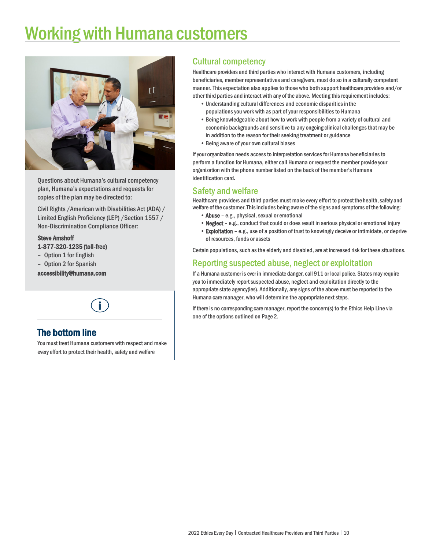# Working with Humana customers



Questions about Humana's cultural competency plan, Humana's expectations and requests for copies of the plan may be directed to:

Civil Rights /American with Disabilities Act (ADA) / Limited English Proficiency (LEP) /Section 1557 / Non-Discrimination Compliance Officer:

#### Steve Amshoff 1-877-320-1235 (toll-free)

- Option 1 for English
- Option 2 for Spanish

[accessibility@humana.com](mailto:accessibility@humana.com) 



**The bottom line**<br>You must treat Humana customers with respect and make every effort to protect their health, safety and welfare

### Cultural competency

Healthcare providers and third parties who interact with Humana customers, including beneficiaries, member representatives and caregivers, must do so in a culturally competent manner. This expectation also applies to those who both support healthcare providers and/or other third parties and interact with any of the above. Meeting this requirement includes:

- Understanding cultural differences and economic disparities in the populations you work with as part of your responsibilities to Humana
- Being knowledgeable about how to work with people from a variety of cultural and economic backgrounds and sensitive to any ongoing clinical challenges that may be in addition to the reason for their seeking treatment or guidance
- Being aware of your own cultural biases

If your organization needs access to interpretation services for Humana beneficiaries to perform a function for Humana, either call Humana or request the member provide your organization with the phone number listed on the back of the member's Humana identification card.

### Safety and welfare

Healthcare providers and third parties must make every effort to protect the health, safety and welfare of the customer.Thisincludes being aware of the signs and symptoms of the following:

- Abuse e.g., physical, sexual or emotional
- Neglect e.g., conduct that could or does result in serious physical or emotional injury
- Exploitation e.g., use of a position of trust to knowingly deceive or intimidate, or deprive of resources, funds or assets

Certain populations, such as the elderly and disabled, are at increased risk for these situations.

### Reporting suspected abuse, neglect or exploitation

If a Humana customer is ever in immediate danger, call 911 or local police. States may require you to immediately report suspected abuse, neglect and exploitation directly to the appropriate state agency(ies). Additionally, any signs of the above must be reported to the Humana care manager, who will determine the appropriate next steps.

If there is no corresponding care manager, report the concern(s) to the Ethics Help Line via one of the options outlined on Page 2.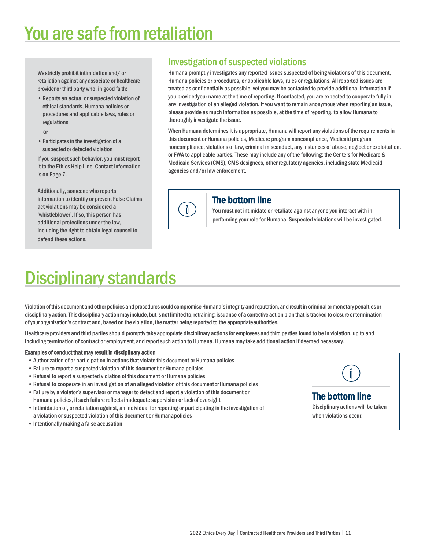# You are safe from retaliation

We strictly prohibit intimidation and/ or retaliation against any associate or healthcare provider or third party who, in good faith:

•Reports an actual or suspected violation of ethical standards, Humana policies or procedures and applicable laws, rules or regulations

#### or

•Participates in the investigation of a suspected ordetected violation

If you suspect such behavior, you must report it to the Ethics Help Line. Contact information is on Page 7.

Additionally, someone who reports information to identify or prevent False Claims act violations may be considered a 'whistleblower'. If so, this person has additional protections under the law, including the right to obtain legal counsel to defend these actions.

### Investigation of suspected violations

Humana promptly investigates any reported issues suspected of being violations of this document, Humana policies or procedures, or applicable laws, rules or regulations. All reported issues are treated as confidentially as possible, yet you may be contacted to provide additional information if you providedyour name at the time of reporting. If contacted, you are expected to cooperate fully in any investigation of an alleged violation. If you want to remain anonymous when reporting an issue, please provide as much information as possible, at the time of reporting, to allow Humana to thoroughly investigate the issue.

When Humana determines it is appropriate, Humana will report any violations of the requirements in this document or Humana policies, Medicare program noncompliance, Medicaid program noncompliance, violations of law, criminal misconduct, any instances of abuse, neglect or exploitation, or FWA to applicable parties. These may include any of the following: the Centers for Medicare & Medicaid Services (CMS), CMS designees, other regulatory agencies, including state Medicaid agencies and/or law enforcement.



**The bottom line**<br>You must not intimidate or retaliate against anyone you interact with in performing your role for Humana. Suspected violations will be investigated.

# **Disciplinary standards**

Violation of this document and other policies and procedures could compromise Humana's integrity and reputation, and result in criminal or monetary penalties or disciplinary action. This disciplinary action may include, but is not limited to, retraining, issuance of a corrective action plan that is tracked to closure or termination ofyourorganization's contract and, based on the violation, the matter being reported to the appropriateauthorities.

 $\mathbf{\r{0}}$ 

Healthcare providers and third parties should promptly take appropriate disciplinary actions for employees and third parties found to be in violation, up to and including termination of contract or employment, and report such action to Humana. Humana may take additional action if deemed necessary.

#### Examples of conduct that may result in disciplinary action

- Authorization of or participation in actions that violate this document or Humana policies
- Failure to report a suspected violation of this document or Humana policies
- Refusal to report a suspected violation of this document or Humana policies
- Refusal to cooperate in an investigation of an alleged violation of this documentor Humana policies
- Failure by a violator's supervisor or manager to detect and report a violation of this document or Humana policies, if such failure reflects inadequate supervision or lack of oversight
- Intimidation of, or retaliation against, an individual for reporting or participating in the investigation of a violation or suspected violation of this document or Humanapolicies
- Intentionally making a false accusation



when violations occur.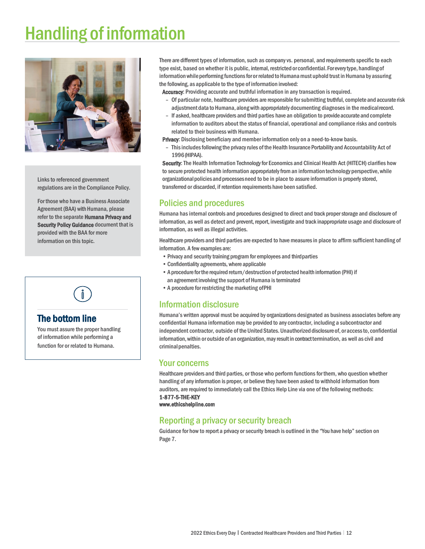# Handling of information



Links to referenced government regulations are in the Compliance Policy.

For those who have a Business Associate Agreement (BAA) with Humana, please refer to the separate Humana Privacy and Security Policy Guidance document that is provided with the BAA for more information on this topic.

# **The bottom line**<br>You must assure the proper handling

of information while performing a function for or related to Humana. There are different types of information, such as company vs. personal, and requirements specific to each type exist, based on whether it is public, internal, restricted or confidential. For every type, handling of information while performing functions for or related to Humana must uphold trust in Humana by assuring the following, as applicable to the type of information involved:

Accuracy: Providing accurate and truthful information in any transaction is required.

- Of particular note, healthcare providers are responsible for submitting truthful, complete and accurate risk adjustment data to Humana, alongwith appropriately documenting diagnoses in the medicalrecord.
- If asked, healthcare providers and third parties have an obligation to provideaccurateand complete information to auditors about the status of financial, operational and compliance risks and controls related to their business with Humana.

Privacy: Disclosing beneficiary and member information only on a need-to-know basis.

- This includes following the privacy rules of the Health Insurance Portability and Accountability Act of 1996(HIPAA).

Security: The Health Information Technology for Economics and Clinical Health Act (HITECH) clarifies how to secure protected health information appropriately from an information technology perspective, while organizational policies and processes need to be in place to assure information is properly stored, transferred or discarded, if retention requirements have been satisfied.

#### Policies and procedures

Humana has internal controls and procedures designed to direct and track proper storage and disclosure of information, as well as detect and prevent, report, investigate and track inappropriate usage and disclosure of information, as well as illegal activities.

Healthcare providers and third parties are expected to have measures in place to affirm sufficient handling of information. A few examples are:

- •Privacy and security training program for employees and thirdparties
- •Confidentiality agreements, where applicable
- •A procedure forthe required return/destruction of protected health information (PHI) if an agreementinvolving the support of Humana isterminated
- •A procedure for restricting the marketing ofPHI

#### Information disclosure

Humana's written approval must be acquired by organizations designated as business associates before any confidential Humana information may be provided to any contractor, including a subcontractor and independent contractor, outside of the United States. Unauthorized disclosure of, or access to, confidential information, within or outside of an organization, may result in contract termination, as well as civil and criminalpenalties.

#### Your concerns

Healthcare providers and third parties, or those who perform functions for them, who question whether handling of any information is proper, or believe they have been asked to withhold information from auditors, are required to immediately call the Ethics Help Line via one of the following methods: 1-877-5-THE-KEY

[www.ethicshelpline.com](http://www.ethicshelpline.com/) 

#### Reporting a privacy or security breach

Guidance for how to report a privacy or security breach is outlined in the "You have help" section on Page 7.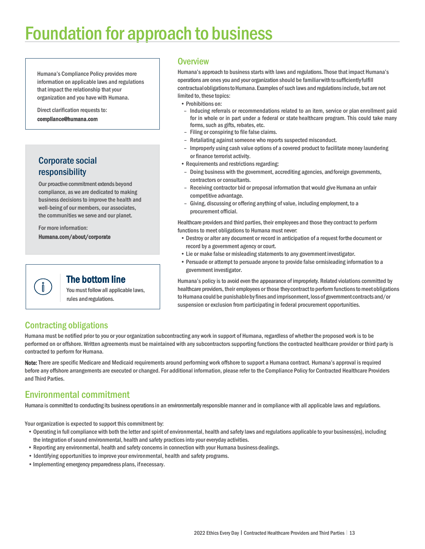# Foundation for approach to business

Humana's Compliance Policy provides more information on applicable laws and regulations that impact the relationship that your organization and you have with Humana.

Direct clarification requests to: [compliance@humana.com](mailto:compliance@humana.com) 

### Corporate social responsibility

Our proactive commitment extends beyond compliance, as we are dedicated to making business decisions to improve the health and well-being of our members, our associates, the communities we serve and our planet.

For more information: [Humana.com/about/corporate](http://humana.com/about/corporate) 

**The bottom line**<br>You must follow all applicable laws, rules and regulations.

#### **Overview**

Humana's approach to business starts with laws and regulations. Those that impact Humana's operations are ones you and your organization should be familiarwithtosufficientlyfulfill contractual obligations to Humana. Examples of such laws and regulations include, but are not limited to, these topics:

- Prohibitions on:
- Inducing referrals or recommendations related to an item, service or plan enrollment paid for in whole or in part under a federal or state healthcare program. This could take many forms, such as gifts, rebates, etc.
- Filing or conspiring to file false claims.
- Retaliating against someone who reports suspected misconduct.
- Improperly using cash value options of a covered product to facilitate money laundering or finance terrorist activity.
- Requirements and restrictions regarding:
- Doing business with the government, accrediting agencies, and foreign governments, contractors or consultants.
- Receiving contractor bid or proposal information that would give Humana an unfair competitive advantage.
- Giving, discussing or offering anything of value, including employment, to a procurement official.

Healthcare providers and third parties, their employees and those they contract to perform functions to meet obligations to Humana must never:

- Destroy or alter any document or record in anticipation of a request forthe document or record by a government agency or court.
- Lie or make false or misleading statements to any governmentinvestigator.
- Persuade or attempt to persuade anyone to provide false ormisleading information to a government investigator.

Humana's policy is to avoid even the appearance of impropriety. Related violations committed by healthcare providers, their employees or those they contract to perform functions to meet obligations to Humana could be punishable by fines and imprisonment, loss of government contracts and/or suspension or exclusion from participating in federal procurement opportunities.

## Contracting obligations

 $\mathring{\mathbb{I}}$ 

Humana must be notified prior to you or your organization subcontracting any work in support of Humana, regardless of whether the proposed work is to be performed on or offshore. Written agreements must be maintained with any subcontractors supporting functions the contracted healthcare provider or third party is contracted to perform for Humana.

Note: There are specific Medicare and Medicaid requirements around performing work offshore to support a Humana contract. Humana's approval is required before any offshore arrangements are executed or changed. For additional information, please refer to the Compliance Policy for Contracted Healthcare Providers and Third Parties.

## Environmental commitment

Humana is committed to conducting its business operations in an environmentally responsible manner and in compliance with all applicable laws and regulations.

Your organization is expected to support this commitment by:

- Operating in full compliance with both the letter and spirit of environmental, health and safetylaws and regulations applicable to your business(es), including the integration of sound environmental, health and safety practices into your everyday activities.
- Reporting any environmental, health and safety concerns in connection with your Humana business dealings.
- Identifying opportunities to improve your environmental, health and safety programs.
- •Implementing emergency preparedness plans, ifnecessary.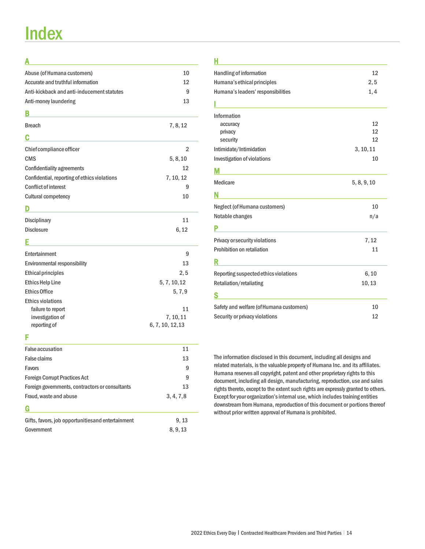# **Index**

### A

| Abuse (of Humana customers)                  | 10             |
|----------------------------------------------|----------------|
| Accurate and truthful information            | 12             |
| Anti-kickback and anti-inducement statutes   | 9              |
| Anti-money laundering                        | 13             |
| В                                            |                |
| <b>Breach</b>                                | 7, 8, 12       |
| C                                            |                |
| Chief compliance officer                     | $\overline{2}$ |
| <b>CMS</b>                                   | 5, 8, 10       |
| <b>Confidentiality agreements</b>            | 12             |
| Confidential, reporting of ethics violations | 7, 10, 12      |
| <b>Conflict of interest</b>                  | 9              |
| <b>Cultural competency</b>                   | 10             |
| D                                            |                |
| Disciplinary                                 | 11             |
| <b>Disclosure</b>                            | 6, 12          |
| F                                            |                |
| Entertainment                                | 9              |
| <b>Environmental responsibility</b>          | 13             |
| <b>Ethical principles</b>                    | 2, 5           |
| <b>Ethics Help Line</b>                      | 5, 7, 10, 12   |
| <b>Ethics Office</b>                         | 5, 7, 9        |
| <b>Ethics violations</b>                     |                |

#### F

| <b>False accusation</b>                            | 11         |
|----------------------------------------------------|------------|
| <b>False claims</b>                                | 13         |
| Favors                                             | 9          |
| <b>Foreign Corrupt Practices Act</b>               | 9          |
| Foreign governments, contractors or consultants    | 13         |
| Fraud, waste and abuse                             | 3, 4, 7, 8 |
| G                                                  |            |
| Gifts, favors, job opportunities and entertainment | 9, 13      |
| Government                                         | 8, 9, 13   |

failure to report 11 investigation of 7, 10, 11 reporting of 6, 7, 10, 12,13

#### H

| <b>Handling of information</b>           | 12          |
|------------------------------------------|-------------|
| Humana's ethical principles              | 2, 5        |
| Humana's leaders' responsibilities       | 1,4         |
|                                          |             |
| Information                              |             |
| accuracy                                 | 12          |
| privacy                                  | 12          |
| security                                 | 12          |
| Intimidate/Intimidation                  | 3, 10, 11   |
| Investigation of violations              | 10          |
| М                                        |             |
| <b>Medicare</b>                          | 5, 8, 9, 10 |
| N                                        |             |
| <b>Neglect (of Humana customers)</b>     | 10          |
| Notable changes                          | n/a         |
|                                          |             |
| Privacy or security violations           | 7, 12       |
| Prohibition on retaliation               | 11          |
|                                          |             |
| Reporting suspected ethics violations    | 6, 10       |
| Retaliation/retaliating                  | 10, 13      |
|                                          |             |
| Safety and welfare (of Humana customers) | 10          |
| Security or privacy violations           | 12          |

The information disclosed in this document, including all designs and related materials, is the valuable property of Humana Inc. and its affiliates. Humana reserves all copyright, patent and other proprietary rights to this document, including all design, manufacturing, reproduction, use and sales rights thereto, except to the extent such rights are expressly granted to others. Except for your organization's internal use, which includes training entities downstream from Humana, reproduction of this document or portions thereof without prior written approval of Humana is prohibited.